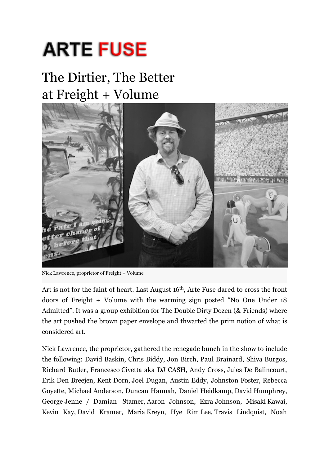## **ARTE FUSE**

## The Dirtier, The Better at Freight + Volume



Nick Lawrence, proprietor of Freight + Volume

Art is not for the faint of heart. Last August 16<sup>th</sup>, Arte Fuse dared to cross the front doors of Freight + Volume with the warming sign posted "No One Under 18 Admitted". It was a group exhibition for The Double Dirty Dozen (& Friends) where the art pushed the brown paper envelope and thwarted the prim notion of what is considered art.

Nick Lawrence, the proprietor, gathered the renegade bunch in the show to include the following: David Baskin, Chris Biddy, Jon Birch, Paul Brainard, Shiva Burgos, Richard Butler, Francesco Civetta aka DJ CASH, Andy Cross, Jules De Balincourt, Erik Den Breejen, Kent Dorn, Joel Dugan, Austin Eddy, Johnston Foster, Rebecca Goyette, Michael Anderson, Duncan Hannah, Daniel Heidkamp, David Humphrey, George Jenne / Damian Stamer, Aaron Johnson, Ezra Johnson, Misaki Kawai, Kevin Kay, David Kramer, Maria Kreyn, Hye Rim Lee, Travis Lindquist, Noah